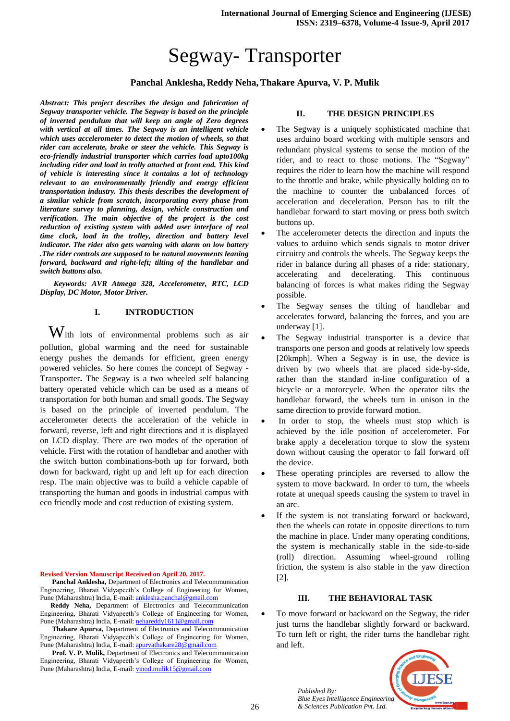# Segway- Transporter

# **Panchal Anklesha, Reddy Neha,Thakare Apurva, V. P. Mulik**

*Abstract: This project describes the design and fabrication of Segway transporter vehicle. The Segway is based on the principle of inverted pendulum that will keep an angle of Zero degrees with vertical at all times. The Segway is an intelligent vehicle which uses accelerometer to detect the motion of wheels, so that rider can accelerate, brake or steer the vehicle. This Segway is eco-friendly industrial transporter which carries load upto100kg including rider and load in trolly attached at front end. This kind of vehicle is interesting since it contains a lot of technology relevant to an environmentally friendly and energy efficient transportation industry. This thesis describes the development of a similar vehicle from scratch, incorporating every phase from literature survey to planning, design, vehicle construction and verification. The main objective of the project is the cost reduction of existing system with added user interface of real time clock, load in the trolley, direction and battery level indicator. The rider also gets warning with alarm on low battery .The rider controls are supposed to be natural movements leaning forward, backward and right-left; tilting of the handlebar and switch buttons also.*

 *Keywords: AVR Atmega 328, Accelerometer, RTC, LCD Display, DC Motor, Motor Driver.*

## **I. INTRODUCTION**

With lots of environmental problems such as air pollution, global warming and the need for sustainable energy pushes the demands for efficient, green energy powered vehicles. So here comes the concept of Segway - Transporter**.** The Segway is a two wheeled self balancing battery operated vehicle which can be used as a means of transportation for both human and small goods. The Segway is based on the principle of inverted pendulum. The accelerometer detects the acceleration of the vehicle in forward, reverse, left and right directions and it is displayed on LCD display. There are two modes of the operation of vehicle. First with the rotation of handlebar and another with the switch button combinations-both up for forward, both down for backward, right up and left up for each direction resp. The main objective was to build a vehicle capable of transporting the human and goods in industrial campus with eco friendly mode and cost reduction of existing system.

### **Revised Version Manuscript Received on April 20, 2017.**

 **Panchal Anklesha,** Department of Electronics and Telecommunication Engineering, Bharati Vidyapeeth's College of Engineering for Women, Pune (Maharashtra) India, E-mail: [anklesha.panchal@gmail.com](mailto:anklesha.panchal@gmail.com)

 **Reddy Neha,** Department of Electronics and Telecommunication Engineering, Bharati Vidyapeeth's College of Engineering for Women, Pune (Maharashtra) India, E-mail: [nehareddy1611@gmail.com](mailto:nehareddy1611@gmail.com)

 **Thakare Apurva,** Department of Electronics and Telecommunication Engineering, Bharati Vidyapeeth's College of Engineering for Women, Pune (Maharashtra) India, E-mail: [apurvathakare28@gmail.com](mailto:apurvathakare28@gmail.com)

 **Prof. V. P. Mulik,** Department of Electronics and Telecommunication Engineering, Bharati Vidyapeeth's College of Engineering for Women, Pune (Maharashtra) India, E-mail: [vinod.mulik15@gmail.com](mailto:vinod.mulik15@gmail.com)

## **II. THE DESIGN PRINCIPLES**

- The Segway is a uniquely sophisticated machine that uses arduino board working with multiple sensors and redundant physical systems to sense the motion of the rider, and to react to those motions. The "Segway" requires the rider to learn how the machine will respond to the throttle and brake, while physically holding on to the machine to counter the unbalanced forces of acceleration and deceleration. Person has to tilt the handlebar forward to start moving or press both switch buttons up.
- The accelerometer detects the direction and inputs the values to arduino which sends signals to motor driver circuitry and controls the wheels. The Segway keeps the rider in balance during all phases of a ride: stationary, accelerating and decelerating. This continuous balancing of forces is what makes riding the Segway possible.
- The Segway senses the tilting of handlebar and accelerates forward, balancing the forces, and you are underway [1].
- The Segway industrial transporter is a device that transports one person and goods at relatively low speeds [20kmph]. When a Segway is in use, the device is driven by two wheels that are placed side-by-side, rather than the standard in-line configuration of a bicycle or a motorcycle. When the operator tilts the handlebar forward, the wheels turn in unison in the same direction to provide forward motion.
- In order to stop, the wheels must stop which is achieved by the idle position of accelerometer. For brake apply a deceleration torque to slow the system down without causing the operator to fall forward off the device.
- These operating principles are reversed to allow the system to move backward. In order to turn, the wheels rotate at unequal speeds causing the system to travel in an arc.
- If the system is not translating forward or backward, then the wheels can rotate in opposite directions to turn the machine in place. Under many operating conditions, the system is mechanically stable in the side-to-side (roll) direction. Assuming wheel-ground rolling friction, the system is also stable in the yaw direction [2].

#### **III. THE BEHAVIORAL TASK**

 To move forward or backward on the Segway, the rider just turns the handlebar slightly forward or backward. To turn left or right, the rider turns the handlebar right and left.

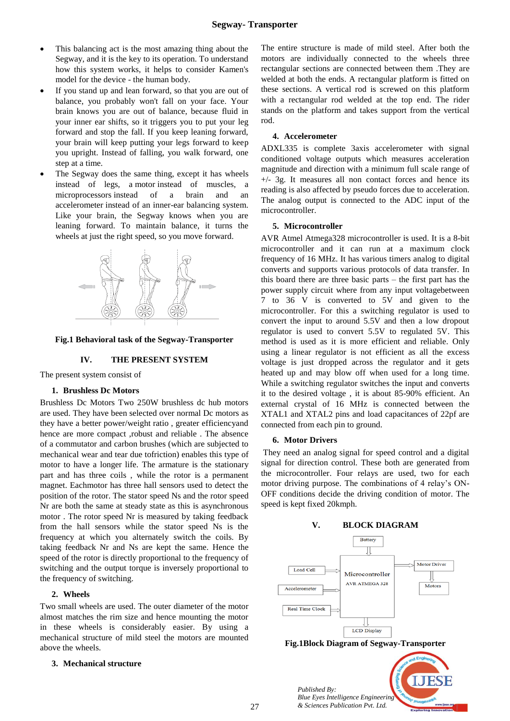- This balancing act is the most amazing thing about the Segway, and it is the key to its operation. To understand how this system works, it helps to consider Kamen's model for the device - the human body.
- If you stand up and lean forward, so that you are out of balance, you probably won't fall on your face. Your brain knows you are out of balance, because fluid in your inner ear shifts, so it triggers you to put your leg forward and stop the fall. If you keep leaning forward, your brain will keep putting your legs forward to keep you upright. Instead of falling, you walk forward, one step at a time.
- The Segway does the same thing, except it has wheels instead of legs, a motor instead of muscles, a microprocessors instead of a brain and an accelerometer instead of an inner-ear balancing system. Like your brain, the Segway knows when you are leaning forward. To maintain balance, it turns the wheels at just the right speed, so you move forward.



#### **Fig.1 Behavioral task of the Segway-Transporter**

## **IV. THE PRESENT SYSTEM**

The present system consist of

## **1. Brushless Dc Motors**

Brushless Dc Motors Two 250W brushless dc hub motors are used. They have been selected over normal Dc motors as they have a better power/weight ratio , greater efficiencyand hence are more compact ,robust and reliable . The absence of a commutator and carbon brushes (which are subjected to mechanical wear and tear due tofriction) enables this type of motor to have a longer life. The armature is the stationary part and has three coils , while the rotor is a permanent magnet. Eachmotor has three hall sensors used to detect the position of the rotor. The stator speed Ns and the rotor speed Nr are both the same at steady state as this is asynchronous motor . The rotor speed Nr is measured by taking feedback from the hall sensors while the stator speed Ns is the frequency at which you alternately switch the coils. By taking feedback Nr and Ns are kept the same. Hence the speed of the rotor is directly proportional to the frequency of switching and the output torque is inversely proportional to the frequency of switching.

# **2. Wheels**

Two small wheels are used. The outer diameter of the motor almost matches the rim size and hence mounting the motor in these wheels is considerably easier. By using a mechanical structure of mild steel the motors are mounted above the wheels.

# **3. Mechanical structure**

The entire structure is made of mild steel. After both the motors are individually connected to the wheels three rectangular sections are connected between them .They are welded at both the ends. A rectangular platform is fitted on these sections. A vertical rod is screwed on this platform with a rectangular rod welded at the top end. The rider stands on the platform and takes support from the vertical rod.

#### **4. Accelerometer**

ADXL335 is complete 3axis accelerometer with signal conditioned voltage outputs which measures acceleration magnitude and direction with a minimum full scale range of  $+/-$  3g. It measures all non contact forces and hence its reading is also affected by pseudo forces due to acceleration. The analog output is connected to the ADC input of the microcontroller.

### **5. Microcontroller**

AVR Atmel Atmega328 microcontroller is used. It is a 8-bit microcontroller and it can run at a maximum clock frequency of 16 MHz. It has various timers analog to digital converts and supports various protocols of data transfer. In this board there are three basic parts – the first part has the power supply circuit where from any input voltagebetween 7 to 36 V is converted to 5V and given to the microcontroller. For this a switching regulator is used to convert the input to around 5.5V and then a low dropout regulator is used to convert 5.5V to regulated 5V. This method is used as it is more efficient and reliable. Only using a linear regulator is not efficient as all the excess voltage is just dropped across the regulator and it gets heated up and may blow off when used for a long time. While a switching regulator switches the input and converts it to the desired voltage , it is about 85-90% efficient. An external crystal of 16 MHz is connected between the XTAL1 and XTAL2 pins and load capacitances of 22pf are connected from each pin to ground.

#### **6. Motor Drivers**

They need an analog signal for speed control and a digital signal for direction control. These both are generated from the microcontroller. Four relays are used, two for each motor driving purpose. The combinations of 4 relay's ON-OFF conditions decide the driving condition of motor. The speed is kept fixed 20kmph.

# **V. BLOCK DIAGRAM**



*& Sciences Publication Pvt. Ltd.*

27